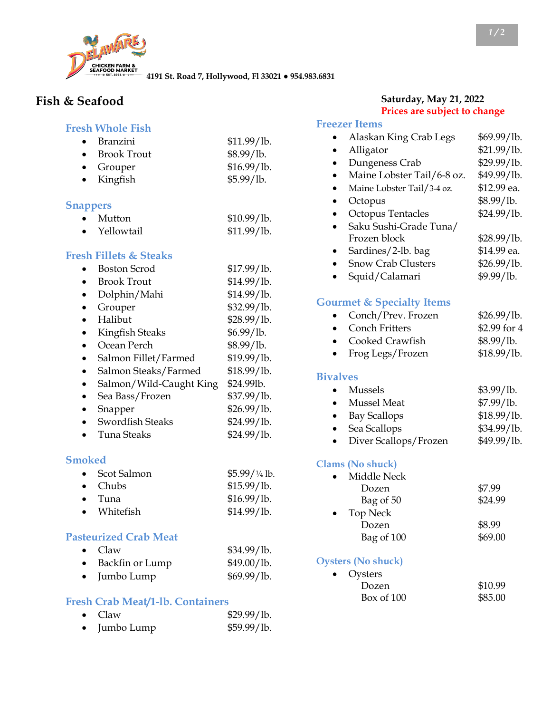

**4191 St. Road 7, Hollywood, Fl 33021 ● 954.983.6831**

# **Fish & Seafood**

#### **Fresh Whole Fish**

| $\bullet$ Branzini | \$11.99/lb. |
|--------------------|-------------|
| • Brook Trout      | \$8.99/1b.  |
| $\bullet$ Grouper  | \$16.99/lb. |
| $\bullet$ Kingfish | \$5.99/lb.  |

### **Snappers**

| $\bullet$ | Mutton     | \$10.99/1b. |
|-----------|------------|-------------|
|           | Yellowtail | \$11.99/lb. |

### **Fresh Fillets & Steaks**

| 35 H | Hels of Siears          |             |
|------|-------------------------|-------------|
|      | Boston Scrod            | \$17.99/1b. |
|      | <b>Brook Trout</b>      | \$14.99/lb. |
|      | Dolphin/Mahi            | \$14.99/lb. |
|      | Grouper                 | \$32.99/lb. |
|      | Halibut                 | \$28.99/lb. |
|      | Kingfish Steaks         | \$6.99/lb.  |
|      | Ocean Perch             | \$8.99/lb.  |
|      | Salmon Fillet/Farmed    | \$19.99/lb. |
|      | Salmon Steaks/Farmed    | \$18.99/1b. |
|      | Salmon/Wild-Caught King | \$24.99lb.  |
|      | Sea Bass/Frozen         | \$37.99/lb. |
|      | Snapper                 | \$26.99/lb. |
|      | <b>Swordfish Steaks</b> | \$24.99/lb. |
|      | Tuna Steaks             | \$24.99/lb. |

#### **Smoked**

| • Scot Salmon   | $$5.99/1/4$ lb. |
|-----------------|-----------------|
| $\bullet$ Chubs | \$15.99/1b.     |
| $\bullet$ Tuna  | \$16.99/lb.     |
| • Whitefish     | \$14.99/lb.     |

### **Pasteurized Crab Meat**

|           | $\bullet$ Claw       | \$34.99/lb. |
|-----------|----------------------|-------------|
| $\bullet$ | Backfin or Lump      | \$49.00/lb. |
|           | $\bullet$ Jumbo Lump | \$69.99/lb. |

### **Fresh Crab Meat/1-lb. Containers**

| $\bullet$ Claw       | \$29.99/lb. |
|----------------------|-------------|
| $\bullet$ Jumbo Lump | \$59.99/1b. |

### **Saturday, May 21, 2022 Prices are subject to change**

#### **Freezer Items**

| <b>Freezer Items</b>                 |              |
|--------------------------------------|--------------|
| Alaskan King Crab Legs               | \$69.99/lb.  |
| Alligator                            | \$21.99/lb.  |
| Dungeness Crab                       | \$29.99/lb.  |
| Maine Lobster Tail/6-8 oz.           | \$49.99/lb.  |
| Maine Lobster Tail/3-4 oz.           | \$12.99 ea.  |
| Octopus                              | \$8.99/lb.   |
| Octopus Tentacles                    | \$24.99/lb.  |
| Saku Sushi-Grade Tuna/               |              |
| Frozen block                         | \$28.99/lb.  |
| Sardines/2-lb. bag                   | \$14.99 ea.  |
| <b>Snow Crab Clusters</b>            | \$26.99/lb.  |
| Squid/Calamari                       | \$9.99/lb.   |
| <b>Gourmet &amp; Specialty Items</b> |              |
| Conch/Prev. Frozen                   | \$26.99/lb.  |
| <b>Conch Fritters</b>                | \$2.99 for 4 |
| Cooked Crawfish                      | \$8.99/lb.   |
| Frog Legs/Frozen                     | \$18.99/lb.  |
| <b>Bivalves</b>                      |              |
| <b>Mussels</b>                       | \$3.99/lb.   |
| <b>Mussel</b> Meat                   | \$7.99/lb.   |
| <b>Bay Scallops</b>                  | \$18.99/lb.  |
| Sea Scallops                         | \$34.99/lb.  |
| Diver Scallops/Frozen                | \$49.99/lb.  |
| <b>Clams (No shuck)</b>              |              |
| Middle Neck                          |              |
| Dozen                                | \$7.99       |
| Bag of 50                            | \$24.99      |
| <b>Top Neck</b>                      |              |
| Dozen                                | \$8.99       |
| Bag of 100                           | \$69.00      |
| <b>Oysters (No shuck)</b>            |              |

| $\bullet$ Oysters |         |
|-------------------|---------|
| Dozen             | \$10.99 |
| Box of $100$      | \$85.00 |